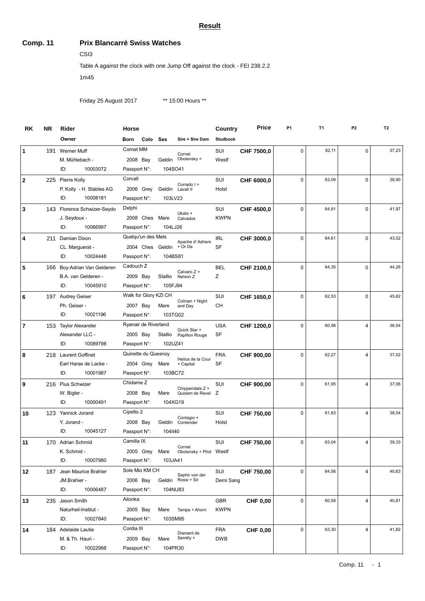#### **Result**

#### **Comp. 11 Prix Blancarré Swiss Watches**

CSI3

Table A against the clock with one Jump Off against the clock - FEI 238.2.2

1m45

Friday 25 August 2017 \*\* 15:00 Hours \*\*

| <b>RK</b>      | <b>NR</b> | Rider                       | Horse                 |         |                         | Country         | <b>Price</b>    | P <sub>1</sub> | T <sub>1</sub> | P <sub>2</sub> | T <sub>2</sub> |
|----------------|-----------|-----------------------------|-----------------------|---------|-------------------------|-----------------|-----------------|----------------|----------------|----------------|----------------|
|                |           | Owner                       | Colo<br>Born          | Sex     | Sire + Sire Dam         | <b>Studbook</b> |                 |                |                |                |                |
| 1              |           | 191 Werner Muff             | Cornet MM             |         | Cornet                  | SUI             | CHF 7500,0      | 0              | 62,11          | $\mathbf 0$    | 37,23          |
|                |           | M. Mühlebach -              | 2008 Bay              | Geldin  | Obolensky +             | Westf           |                 |                |                |                |                |
|                |           | 10003072<br>ID:             | Passport N:           | 104SO41 |                         |                 |                 |                |                |                |                |
| $\mathbf{2}$   |           | 225 Pierre Kolly            | Corvall               |         | Corrado I +             | SUI             | CHF 6000,0      | 0              | 63,09          | $\Omega$       | 38,90          |
|                |           | P. Kolly - H. Stables AG    | 2006 Grey             |         | Geldin Lavall II        | Holst           |                 |                |                |                |                |
|                |           | ID:<br>10008181             | Passport N:           | 103LV23 |                         |                 |                 |                |                |                |                |
| 3              |           | 143 Florence Schwizer-Seydo | Delphi                |         | Ukato +                 | SUI             | CHF 4500,0      | 0              | 64,91          | $\mathbf 0$    | 41,97          |
|                |           | J. Seydoux -                | 2008 Ches             | Mare    | Calvados                | <b>KWPN</b>     |                 |                |                |                |                |
|                |           | ID:<br>10066997             | Passport N:           | 104LJ26 |                         |                 |                 |                |                |                |                |
| 4              | 211       | Damian Dixon                | Quelqu'un des Mets    |         | Apache d'Adriers        | <b>IRL</b>      | CHF 3000,0      | 0              | 64,61          | $\mathbf 0$    | 43,02          |
|                |           | CL. Marguerat -             | 2004 Ches             | Geldin  | + Or De                 | <b>SF</b>       |                 |                |                |                |                |
|                |           | 10024448<br>ID:             | Passport N:           | 104BS81 |                         |                 |                 |                |                |                |                |
| 5              |           | 166 Boy-Adrian Van Gelderen | Cadouch Z             |         | Calvaro Z +             | <b>BEL</b>      | CHF 2100,0      | 0              | 64,35          | $\mathbf 0$    | 44,26          |
|                |           | B.A. van Gelderen -         | 2009 Bay              | Stallio | Nelson <sub>Z</sub>     | Ζ               |                 |                |                |                |                |
|                |           | 10045910<br>ID:             | Passport N:           | 105FJ94 |                         |                 |                 |                |                |                |                |
| 6              |           | 197 Audrey Geiser           | Walk for Glory KZI CH |         | Colman + Night          | SUI             | CHF 1650,0      | 0              | 62,53          | $\mathbf 0$    | 45,62          |
|                |           | Ph. Geiser -                | 2007 Bay              | Mare    | and Day                 | <b>CH</b>       |                 |                |                |                |                |
|                |           | 10021196<br>ID:             | Passport N:           | 103TG02 |                         |                 |                 |                |                |                |                |
| $\overline{7}$ |           | 153 Taylor Alexander        | Ryanair de Riverland  |         | Quick Star +            | <b>USA</b>      | CHF 1200,0      | 0              | 60,98          | 4              | 36,54          |
|                |           | Alexander LLC -             | 2005 Bay              | Stallio | Papillon Rouge          | SF              |                 |                |                |                |                |
|                |           | ID:<br>10089798             | Passport N:           | 102UZ41 |                         |                 |                 |                |                |                |                |
| 8              |           | 218 Laurent Goffinet        | Quinette du Quesnoy   |         | Helios de la Cour       | <b>FRA</b>      | CHF 900,00      | 0              | 62,27          | $\overline{4}$ | 37,02          |
|                |           | Earl Haras de Lacke -       | 2004 Grey             | Mare    | + Capital               | SF              |                 |                |                |                |                |
|                |           | ID:<br>10001987             | Passport N:           | 103BC72 |                         |                 |                 |                |                |                |                |
| 9              |           | 216 Pius Schwizer           | Chidame Z             |         | Chippendale Z +         | SUI             | CHF 900,00      | 0              | 61,95          | 4              | 37,06          |
|                |           | W. Bigler -                 | 2008 Bay              | Mare    | Quidam de Revel         | Ζ               |                 |                |                |                |                |
|                |           | ID:<br>10000491             | Passport N:           | 104XG19 |                         |                 |                 |                |                |                |                |
| 10             |           | 123 Yannick Jorand          | Cipetto 2             |         | Contagio +              | SUI             | CHF 750,00      | 0              | 61,83          | $\overline{4}$ | 38,54          |
|                |           | Y. Jorand -                 | 2008 Bay              |         | Geldin Contender        | Holst           |                 |                |                |                |                |
|                |           | 10045127<br>ID:             | Passport N:           | 1041140 |                         |                 |                 |                |                |                |                |
| 11             |           | 170 Adrian Schmid           | Camilla IX            |         | Cornet                  | SUI             | CHF 750,00      | 0              | 63,04          | $\overline{4}$ | 39,33          |
|                |           | K. Schmid -                 | 2005 Grey             | Mare    | Obolensky + Pilot Westf |                 |                 |                |                |                |                |
|                |           | ID:<br>10007980             | Passport N:           | 103JA41 |                         |                 |                 |                |                |                |                |
| 12             |           | 187 Jean Maurice Brahier    | Sole Mio KM CH        |         | Saphir von der          | SUI             | CHF 750,00      | 0              | 64,56          | $\overline{4}$ | 40,63          |
|                |           | JM.Brahier -                | 2006 Bay              | Geldin  | Rossi + Sir             | Demi Sang       |                 |                |                |                |                |
|                |           | ID:<br>10006487             | Passport N:           | 104NU83 |                         |                 |                 |                |                |                |                |
| 13             |           | 235 Jason Smith             | Ailonka               |         |                         | <b>GBR</b>      | <b>CHF 0,00</b> | 0              | 60,58          | $\overline{4}$ | 40,81          |
|                |           | Naturheil-Institut -        | 2005 Bay              | Mare    | Tampa + Ahorn           | <b>KWPN</b>     |                 |                |                |                |                |
|                |           | ID:<br>10027840             | Passport N:           | 103SM95 |                         |                 |                 |                |                |                |                |
| 14             |           | 184 Adelaide Lautie         | Cordia III            |         | Diamant de              | <b>FRA</b>      | <b>CHF 0,00</b> | 0              | 63,30          | 4              | 41,82          |
|                |           | M. & Th. Hauri -            | 2009 Bay              | Mare    | Semilly +               | <b>DWB</b>      |                 |                |                |                |                |
|                |           | 10022998<br>ID:             | Passport N:           | 104PR30 |                         |                 |                 |                |                |                |                |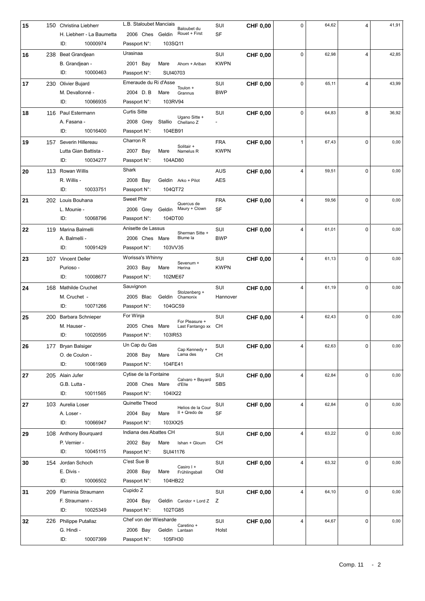| 15 |     | 150 Christina Liebherr                         | L.B. Staloubet Manciais | Baloubet du                                | SUI                       | <b>CHF 0,00</b> | 0            | 64,62 | 4              | 41,91 |
|----|-----|------------------------------------------------|-------------------------|--------------------------------------------|---------------------------|-----------------|--------------|-------|----------------|-------|
|    |     | H. Liebherr - La Baumetta                      | 2006 Ches Geldin        | Rouet + First                              | SF                        |                 |              |       |                |       |
|    |     | ID:<br>10000974                                | Passport N:             | 103SQ11                                    |                           |                 |              |       |                |       |
| 16 |     | 238 Beat Grandjean                             | Urasinaa                |                                            | SUI                       | <b>CHF 0,00</b> | 0            | 62,98 | $\overline{4}$ | 42,85 |
|    |     | B. Grandjean -                                 | 2001 Bay                | Mare<br>Ahorn + Ariban                     | <b>KWPN</b>               |                 |              |       |                |       |
|    |     | 10000463<br>ID:                                | Passport N:             | SUI40703                                   |                           |                 |              |       |                |       |
| 17 |     | 230 Olivier Bujard                             | Emeraude du Ri d'Asse   |                                            | SUI                       | <b>CHF 0,00</b> | 0            | 65,11 | $\overline{4}$ | 43,99 |
|    |     | M. Devallonné -                                | 2004 D.B                | Toulon +<br>Mare<br>Grannus                | <b>BWP</b>                |                 |              |       |                |       |
|    |     | 10066935<br>ID:                                | Passport N:             | 103RV94                                    |                           |                 |              |       |                |       |
| 18 |     | 116 Paul Estermann                             | <b>Curtis Sitte</b>     |                                            | SUI                       | <b>CHF 0.00</b> | 0            | 64,83 | 8              | 36,92 |
|    |     | A. Fasana -                                    | 2008 Grey               | Ugano Sitte +<br>Stallio<br>Chellano Z     |                           |                 |              |       |                |       |
|    |     | ID:<br>10016400                                | Passport N:             | 104EB91                                    |                           |                 |              |       |                |       |
|    |     |                                                | Charron R               |                                            |                           |                 |              | 67,43 | $\Omega$       | 0,00  |
| 19 |     | 157 Severin Hillereau<br>Lutta Gian Battista - | 2007 Bay                | Solitair +<br>Mare                         | <b>FRA</b><br><b>KWPN</b> | <b>CHF 0,00</b> | $\mathbf{1}$ |       |                |       |
|    |     | ID:<br>10034277                                | Passport N:             | Namelus R<br>104AD80                       |                           |                 |              |       |                |       |
|    |     |                                                |                         |                                            |                           |                 |              |       |                |       |
| 20 |     | 113 Rowan Willis                               | Shark                   |                                            | <b>AUS</b>                | <b>CHF 0,00</b> | 4            | 59,51 | $\Omega$       | 0,00  |
|    |     | R. Willis -                                    | 2008 Bay                | Geldin Arko + Pilot                        | <b>AES</b>                |                 |              |       |                |       |
|    |     | ID:<br>10033751                                | Passport N:             | 104QT72                                    |                           |                 |              |       |                |       |
| 21 |     | 202 Louis Bouhana                              | <b>Sweet Phir</b>       | Quercus de                                 | <b>FRA</b>                | <b>CHF 0,00</b> | 4            | 59,56 | 0              | 0,00  |
|    |     | L. Mounie -                                    | 2006 Grey               | Maury + Clown<br>Geldin                    | SF                        |                 |              |       |                |       |
|    |     | 10068796<br>ID:                                | Passport N:             | 104DT00                                    |                           |                 |              |       |                |       |
| 22 | 119 | Marina Balmelli                                | Anisette de Lassus      | Sherman Sitte +                            | SUI                       | <b>CHF 0,00</b> | 4            | 61,01 | $\Omega$       | 0,00  |
|    |     | A. Balmelli -                                  | 2006 Ches Mare          | Blume la                                   | <b>BWP</b>                |                 |              |       |                |       |
|    |     | 10091429<br>ID:                                | Passport N:             | 103VV35                                    |                           |                 |              |       |                |       |
| 23 |     | 107 Vincent Deller                             | Worissa's Whinny        | Sevenum +                                  | SUI                       | <b>CHF 0,00</b> | 4            | 61,13 | $\Omega$       | 0,00  |
|    |     | Purioso -                                      | 2003 Bay                | Mare<br>Herina                             | <b>KWPN</b>               |                 |              |       |                |       |
|    |     | ID:<br>10008677                                | Passport N:             | 102ME67                                    |                           |                 |              |       |                |       |
| 24 | 168 | <b>Mathilde Cruchet</b>                        | Sauvignon               | Stolzenberg +                              | SUI                       | <b>CHF 0,00</b> | 4            | 61,19 | $\Omega$       | 0,00  |
|    |     | M. Cruchet -                                   | 2005 Blac               | Geldin<br>Chamonix                         | Hannover                  |                 |              |       |                |       |
|    |     | ID:<br>10071266                                | Passport N:             | 104GC59                                    |                           |                 |              |       |                |       |
| 25 |     |                                                |                         |                                            | SUI                       |                 | 4            |       | 0              | 0,00  |
|    | 200 | Barbara Schnieper                              | For Winja               |                                            |                           | <b>CHF 0,00</b> |              | 62,43 |                |       |
|    |     | M. Hauser -                                    | 2005 Ches               | For Pleasure +<br>Mare<br>Last Fantango xx | CН                        |                 |              |       |                |       |
|    |     | ID:<br>10020595                                | Passport N:             | 103IR53                                    |                           |                 |              |       |                |       |
| 26 |     | 177 Bryan Balsiger                             | Un Cap du Gas           |                                            | SUI                       | CHF 0,00        | 4            | 62,63 | 0              | 0,00  |
|    |     | O. de Coulon -                                 | 2008 Bay                | Cap Kennedy +<br>Lama des<br>Mare          | CН                        |                 |              |       |                |       |
|    |     | 10061969<br>ID:                                | Passport N:             | 104FE41                                    |                           |                 |              |       |                |       |
| 27 |     | 205 Alain Jufer                                | Cytise de la Fontaine   |                                            | SUI                       | <b>CHF 0,00</b> | 4            | 62,84 | $\mathbf 0$    | 0,00  |
|    |     | G.B. Lutta -                                   | 2008 Ches Mare          | Calvaro + Bayard<br>d'Elle                 | SBS                       |                 |              |       |                |       |
|    |     | 10011565<br>ID:                                | Passport N:             | 104IX22                                    |                           |                 |              |       |                |       |
| 27 |     | 103 Aurelia Loser                              | Quinette Theod          |                                            | SUI                       | <b>CHF 0,00</b> | 4            | 62,84 | $\Omega$       | 0,00  |
|    |     | A. Loser -                                     | 2004 Bay                | Helios de la Cour<br>II + Qredo de<br>Mare | SF                        |                 |              |       |                |       |
|    |     | ID:<br>10066947                                | Passport N:             | 103XX25                                    |                           |                 |              |       |                |       |
| 29 |     | 108 Anthony Bourquard                          | Indiana des Abattes CH  |                                            | SUI                       |                 | 4            | 63,22 | 0              | 0,00  |
|    |     | P. Vernier -                                   | 2002 Bay                | Mare<br>Ishan + Gloum                      | CН                        | <b>CHF 0,00</b> |              |       |                |       |
|    |     | ID:<br>10045115                                | Passport N:             | SUI41176                                   |                           |                 |              |       |                |       |
|    |     |                                                | C'est Sue B             |                                            |                           |                 | 4            | 63,32 | $\mathbf 0$    | 0,00  |
| 30 |     | 154 Jordan Schoch<br>E. Divis -                | 2008 Bay                | Casiro I +<br>Mare<br>Frühlingsball        | SUI<br>Old                | <b>CHF 0,00</b> |              |       |                |       |
|    |     | ID:<br>10006502                                | Passport N:             | 104HB22                                    |                           |                 |              |       |                |       |
|    |     |                                                | Cupido Z                |                                            |                           |                 |              |       | $\mathbf 0$    |       |
| 31 | 209 | Flaminia Straumann                             |                         |                                            | SUI                       | <b>CHF 0,00</b> | 4            | 64,10 |                | 0,00  |
|    |     | F. Straumann -                                 | 2004 Bay                | Geldin Caridor + Lord Z Z                  |                           |                 |              |       |                |       |
|    |     | ID:<br>10025349                                | Passport N:             | 102TG85                                    |                           |                 |              |       |                |       |
| 32 |     | 226 Philippe Putallaz                          | Chef von der Wiesharde  | Caretino +                                 | SUI                       | <b>CHF 0,00</b> | 4            | 64,67 | $\mathbf 0$    | 0,00  |
|    |     | G. Hindi -<br>ID:<br>10007399                  | 2006 Bay<br>Passport N: | Geldin Lantaan<br>105FH30                  | Holst                     |                 |              |       |                |       |